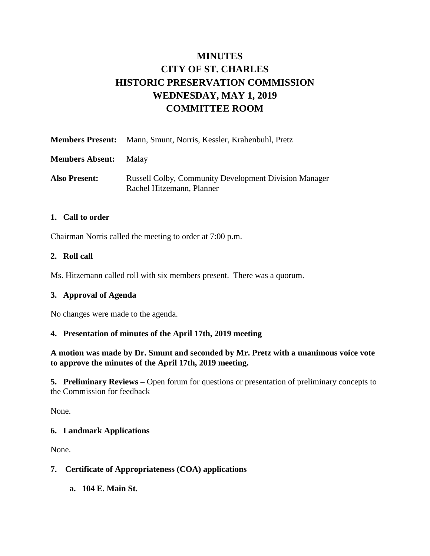# **MINUTES CITY OF ST. CHARLES HISTORIC PRESERVATION COMMISSION WEDNESDAY, MAY 1, 2019 COMMITTEE ROOM**

|                              | <b>Members Present:</b> Mann, Smunt, Norris, Kessler, Krahenbuhl, Pretz                   |
|------------------------------|-------------------------------------------------------------------------------------------|
| <b>Members Absent:</b> Malay |                                                                                           |
| <b>Also Present:</b>         | <b>Russell Colby, Community Development Division Manager</b><br>Rachel Hitzemann, Planner |

#### **1. Call to order**

Chairman Norris called the meeting to order at 7:00 p.m.

#### **2. Roll call**

Ms. Hitzemann called roll with six members present. There was a quorum.

## **3. Approval of Agenda**

No changes were made to the agenda.

#### **4. Presentation of minutes of the April 17th, 2019 meeting**

#### **A motion was made by Dr. Smunt and seconded by Mr. Pretz with a unanimous voice vote to approve the minutes of the April 17th, 2019 meeting.**

**5. Preliminary Reviews –** Open forum for questions or presentation of preliminary concepts to the Commission for feedback

None.

## **6. Landmark Applications**

None.

## **7. Certificate of Appropriateness (COA) applications**

**a. 104 E. Main St.**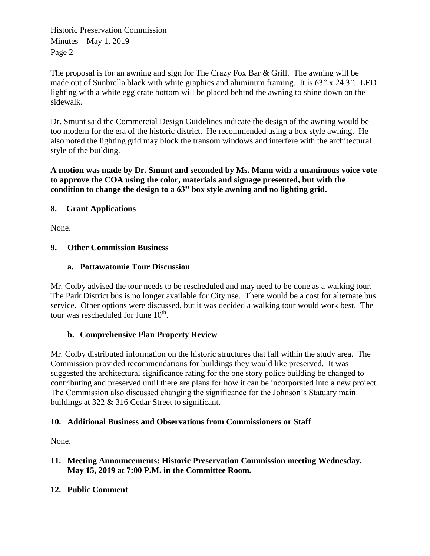Historic Preservation Commission Minutes – May 1, 2019 Page 2

The proposal is for an awning and sign for The Crazy Fox Bar & Grill. The awning will be made out of Sunbrella black with white graphics and aluminum framing. It is 63" x 24.3". LED lighting with a white egg crate bottom will be placed behind the awning to shine down on the sidewalk.

Dr. Smunt said the Commercial Design Guidelines indicate the design of the awning would be too modern for the era of the historic district. He recommended using a box style awning. He also noted the lighting grid may block the transom windows and interfere with the architectural style of the building.

**A motion was made by Dr. Smunt and seconded by Ms. Mann with a unanimous voice vote to approve the COA using the color, materials and signage presented, but with the condition to change the design to a 63" box style awning and no lighting grid.** 

## **8. Grant Applications**

None.

## **9. Other Commission Business**

## **a. Pottawatomie Tour Discussion**

Mr. Colby advised the tour needs to be rescheduled and may need to be done as a walking tour. The Park District bus is no longer available for City use. There would be a cost for alternate bus service. Other options were discussed, but it was decided a walking tour would work best. The tour was rescheduled for June  $10^{th}$ .

# **b. Comprehensive Plan Property Review**

Mr. Colby distributed information on the historic structures that fall within the study area. The Commission provided recommendations for buildings they would like preserved. It was suggested the architectural significance rating for the one story police building be changed to contributing and preserved until there are plans for how it can be incorporated into a new project. The Commission also discussed changing the significance for the Johnson's Statuary main buildings at 322 & 316 Cedar Street to significant.

## **10. Additional Business and Observations from Commissioners or Staff**

None.

- **11. Meeting Announcements: Historic Preservation Commission meeting Wednesday, May 15, 2019 at 7:00 P.M. in the Committee Room.**
- **12. Public Comment**